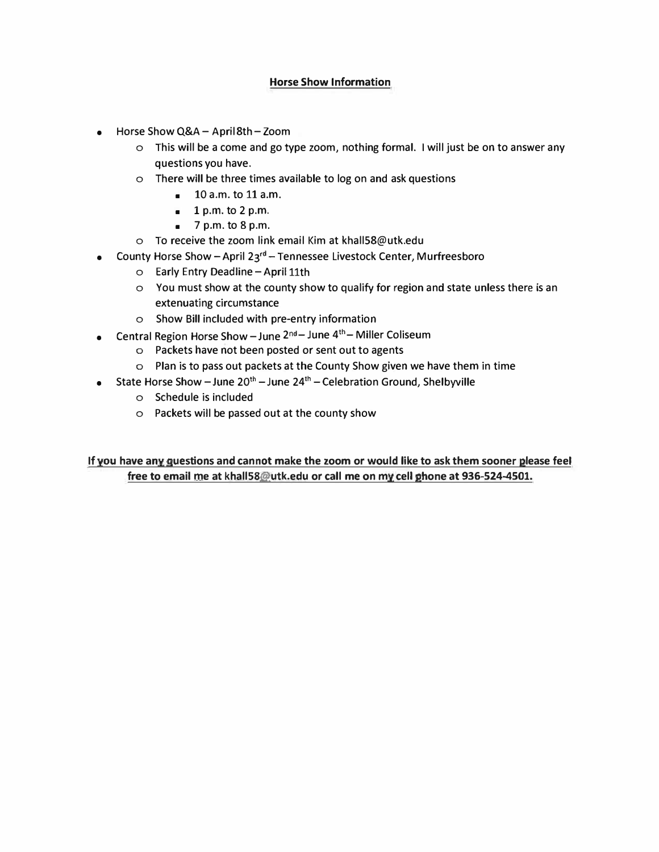#### **Horse Show Information**

- Horse Show Q&A- April 8th-Zoom
	- o This will be a come and go type zoom, nothing formal. I will just be on to answer any questions you have.
	- o There will be three times available to log on and ask questions
		- 10 a.m. to 11 a.m.
		- $\blacksquare$  1 p.m. to 2 p.m.
		- $\blacksquare$  7 p.m. to 8 p.m.
	- o To receive the zoom link email Kim at khall58@utk.edu
- County Horse Show April  $23^{rd}$  Tennessee Livestock Center, Murfreesboro
	- o Early Entry Deadline April 11th
	- o You must show at the county show to qualify for region and state unless there is an extenuating circumstance
	- o Show Bill included with pre-entry information
- Central Region Horse Show June  $2^{nd}$  June  $4^{th}$  Miller Coliseum
	- o Packets have not been posted or sent out to agents
	- o Plan is to pass out packets at the County Show given we have them in time
- State Horse Show June  $20^{th}$  June  $24^{th}$  Celebration Ground, Shelbyville
	- o Schedule is included
	- o Packets will be passed out at the county show

**If you have any questions and cannot make the zoom or would like to ask them sooner please feel free to email roe at khall58@utk.edu or call me on my cell phone at 936-524-4501.**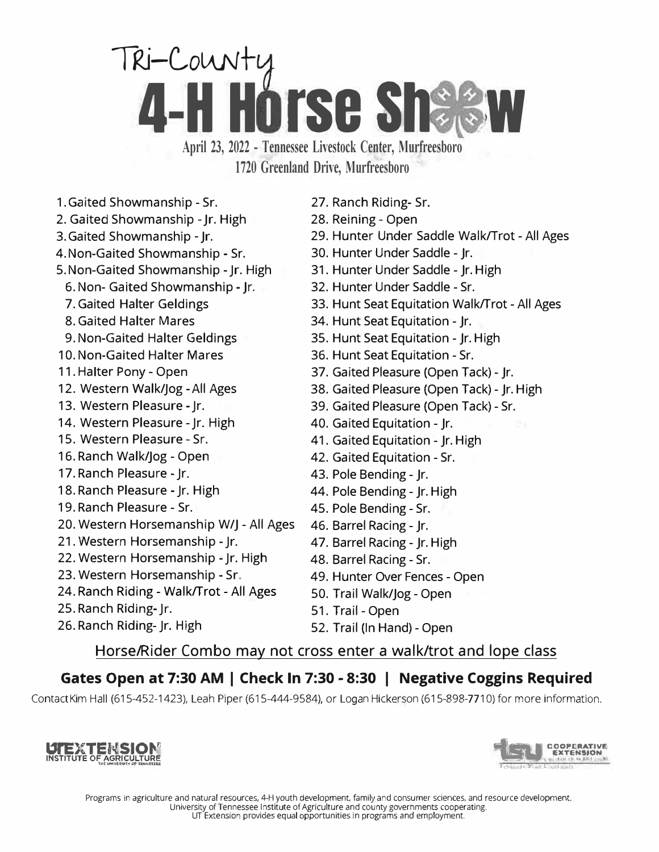# TRI-County **4-H Horse Sha**

**April 23, <sup>2022</sup> - Tennessee Livestock Center, Murfreesboro 1720 Greenland Drive, Murfreesboro**

- 1. Gaited Showmanship Sr.
- 2. Gaited Showmanship Jr. High
- 3. Gaited Showmanship Jr.
- 4. Non-Gaited Showmanship Sr.
- 5. Non-Gaited Showmanship Jr. High
	- 6. Non- Gaited Showmanship Jr.
	- 7. Gaited Halter Geldings
	- 8. Gaited Halter Mares
	- 9. Non-Gaited Halter Geldings
- 10. Non-Gaited Halter Mares
- 11. Halter Pony Open
- 12. Western Walk/Jog All Ages
- 13. Western Pleasure Jr.
- 14. Western Pleasure Jr. High
- 15. Western Pleasure Sr.
- 16. Ranch Walk/Jog Open
- 17. Ranch Pleasure Jr.
- 18. Ranch Pleasure Jr. High
- 19. Ranch Pleasure Sr.
- 20. Western Horsemanship W/J All Ages
- 21. Western Horsemanship Jr.
- 22. Western Horsemanship Jr. High
- 23. Western Horsemanship Sr.
- 24. Ranch Riding Walk/Trot All Ages
- 25. Ranch Riding- Jr.
- 26. Ranch Riding- Jr. High
- 27. Ranch Riding- Sr.
- 28. Reining Open
- 29. Hunter Under Saddle Walk/Trot All Ages
- 30. Hunter Under Saddle Jr.
- 31. Hunter Under Saddle Jr. High
- 32. Hunter Under Saddle Sr.
- 33. Hunt Seat Equitation Walk/Trot All Ages
- 34. Hunt Seat Equitation Jr.
- 35. Hunt Seat Equitation Jr. High
- 36. Hunt Seat Equitation Sr.
- 37. Gaited Pleasure (Open Tack) Jr.
- 38. Gaited Pleasure (Open Tack) Jr. High
- 39. Gaited Pleasure (Open Tack) Sr.
- 40. Gaited Equitation Jr.
- 41. Gaited Equitation Jr. High
- 42. Gaited Equitation Sr.
- 43. Pole Bending Jr.
- 44. Pole Bending Jr. High
- 45. Pole Bending Sr.
- 46. Barrel Racing Jr.
- 47. Barrel Racing Jr. High
- 48. Barrel Racing Sr.
- 49. Hunter Over Fences Open
- 50. Trail Walk/Jog Open
- 51. Trail Open
- 52. Trail (In Hand) Open

#### Horse/Rider Combo may not cross enter a walk/trot and lope class

## **Gates Open at 7:30 AM I Check In 7:30 - 8:30 I Negative Coggins Required**

Contact Kim Hall (615-452-1423), Leah Piper (615-444-9584), or Logan Hickerson (615-898-7710) for more information.